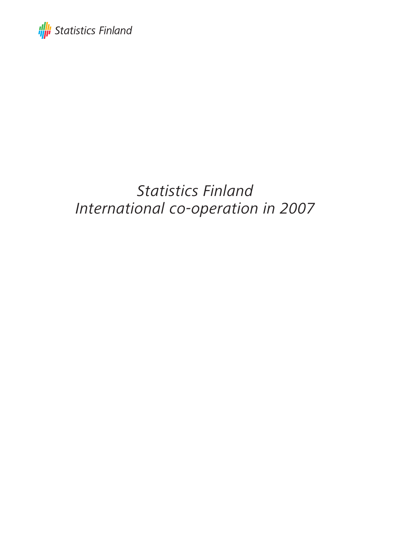

# Statistics Finland International co-operation in 2007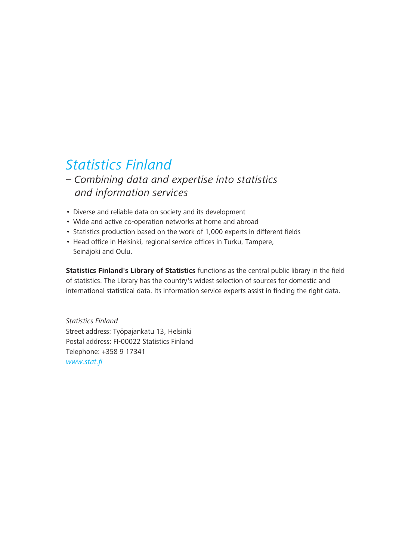# Statistics Finland

### – Combining data and expertise into statistics and information services

- Diverse and reliable data on society and its development
- Wide and active co-operation networks at home and abroad
- Statistics production based on the work of 1,000 experts in different fields
- Head office in Helsinki, regional service offices in Turku, Tampere, Seinäjoki and Oulu.

**Statistics Finland's Library of Statistics** functions as the central public library in the field of statistics. The Library has the country's widest selection of sources for domestic and international statistical data. Its information service experts assist in finding the right data.

Statistics Finland Street address: Työpajankatu 13, Helsinki Postal address: FI-00022 Statistics Finland Telephone: +358 9 17341 www.stat.fi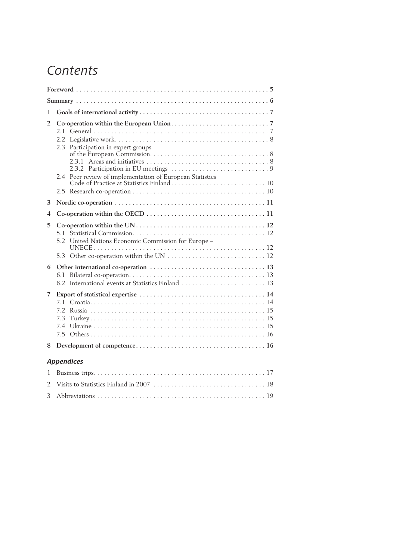# Contents

| 1             |                                                                                                                    |  |  |  |  |  |  |
|---------------|--------------------------------------------------------------------------------------------------------------------|--|--|--|--|--|--|
| 2             | Participation in expert groups<br>$2.3 -$<br>Peer review of implementation of European Statistics<br>$2.4^{\circ}$ |  |  |  |  |  |  |
| 3             |                                                                                                                    |  |  |  |  |  |  |
| 4             |                                                                                                                    |  |  |  |  |  |  |
| 5.            | 5.1<br>United Nations Economic Commission for Europe -<br>5.2                                                      |  |  |  |  |  |  |
| 6             | 6.1<br>6.2 International events at Statistics Finland  13                                                          |  |  |  |  |  |  |
| 7             | 7.3<br>74                                                                                                          |  |  |  |  |  |  |
| 8             |                                                                                                                    |  |  |  |  |  |  |
|               | <b>Appendices</b>                                                                                                  |  |  |  |  |  |  |
| 1             |                                                                                                                    |  |  |  |  |  |  |
| $\mathcal{P}$ |                                                                                                                    |  |  |  |  |  |  |
| 3             |                                                                                                                    |  |  |  |  |  |  |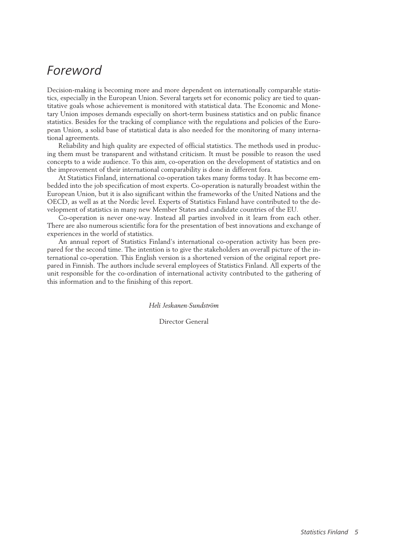## Foreword

Decision-making is becoming more and more dependent on internationally comparable statistics, especially in the European Union. Several targets set for economic policy are tied to quantitative goals whose achievement is monitored with statistical data. The Economic and Monetary Union imposes demands especially on short-term business statistics and on public finance statistics. Besides for the tracking of compliance with the regulations and policies of the European Union, a solid base of statistical data is also needed for the monitoring of many international agreements.

Reliability and high quality are expected of official statistics. The methods used in producing them must be transparent and withstand criticism. It must be possible to reason the used concepts to a wide audience. To this aim, co-operation on the development of statistics and on the improvement of their international comparability is done in different fora.

At Statistics Finland, international co-operation takes many forms today. It has become embedded into the job specification of most experts. Co-operation is naturally broadest within the European Union, but it is also significant within the frameworks of the United Nations and the OECD, as well as at the Nordic level. Experts of Statistics Finland have contributed to the development of statistics in many new Member States and candidate countries of the EU.

Co-operation is never one-way. Instead all parties involved in it learn from each other. There are also numerous scientific fora for the presentation of best innovations and exchange of experiences in the world of statistics.

An annual report of Statistics Finland's international co-operation activity has been prepared for the second time. The intention is to give the stakeholders an overall picture of the international co-operation. This English version is a shortened version of the original report prepared in Finnish. The authors include several employees of Statistics Finland. All experts of the unit responsible for the co-ordination of international activity contributed to the gathering of this information and to the finishing of this report.

*Heli Jeskanen-Sundström*

Director General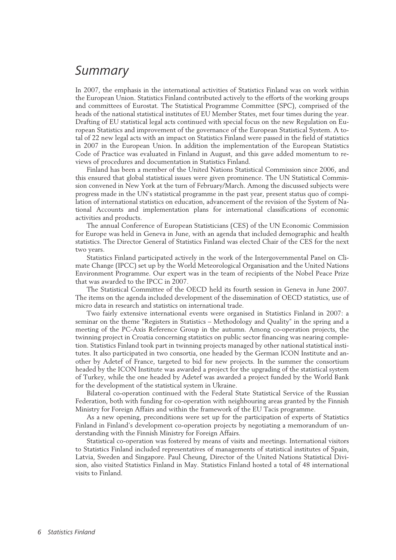## **Summary**

In 2007, the emphasis in the international activities of Statistics Finland was on work within the European Union. Statistics Finland contributed actively to the efforts of the working groups and committees of Eurostat. The Statistical Programme Committee (SPC), comprised of the heads of the national statistical institutes of EU Member States, met four times during the year. Drafting of EU statistical legal acts continued with special focus on the new Regulation on European Statistics and improvement of the governance of the European Statistical System. A total of 22 new legal acts with an impact on Statistics Finland were passed in the field of statistics in 2007 in the European Union. In addition the implementation of the European Statistics Code of Practice was evaluated in Finland in August, and this gave added momentum to reviews of procedures and documentation in Statistics Finland.

Finland has been a member of the United Nations Statistical Commission since 2006, and this ensured that global statistical issues were given prominence. The UN Statistical Commission convened in New York at the turn of February/March. Among the discussed subjects were progress made in the UN's statistical programme in the past year, present status quo of compilation of international statistics on education, advancement of the revision of the System of National Accounts and implementation plans for international classifications of economic activities and products.

The annual Conference of European Statisticians (CES) of the UN Economic Commission for Europe was held in Geneva in June, with an agenda that included demographic and health statistics. The Director General of Statistics Finland was elected Chair of the CES for the next two years.

Statistics Finland participated actively in the work of the Intergovernmental Panel on Climate Change (IPCC) set up by the World Meteorological Organisation and the United Nations Environment Programme. Our expert was in the team of recipients of the Nobel Peace Prize that was awarded to the IPCC in 2007.

The Statistical Committee of the OECD held its fourth session in Geneva in June 2007. The items on the agenda included development of the dissemination of OECD statistics, use of micro data in research and statistics on international trade.

Two fairly extensive international events were organised in Statistics Finland in 2007: a seminar on the theme "Registers in Statistics – Methodology and Quality" in the spring and a meeting of the PC-Axis Reference Group in the autumn. Among co-operation projects, the twinning project in Croatia concerning statistics on public sector financing was nearing completion. Statistics Finland took part in twinning projects managed by other national statistical institutes. It also participated in two consortia, one headed by the German ICON Institute and another by Adetef of France, targeted to bid for new projects. In the summer the consortium headed by the ICON Institute was awarded a project for the upgrading of the statistical system of Turkey, while the one headed by Adetef was awarded a project funded by the World Bank for the development of the statistical system in Ukraine.

Bilateral co-operation continued with the Federal State Statistical Service of the Russian Federation, both with funding for co-operation with neighbouring areas granted by the Finnish Ministry for Foreign Affairs and within the framework of the EU Tacis programme.

As a new opening, preconditions were set up for the participation of experts of Statistics Finland in Finland's development co-operation projects by negotiating a memorandum of understanding with the Finnish Ministry for Foreign Affairs.

Statistical co-operation was fostered by means of visits and meetings. International visitors to Statistics Finland included representatives of managements of statistical institutes of Spain, Latvia, Sweden and Singapore. Paul Cheung, Director of the United Nations Statistical Division, also visited Statistics Finland in May. Statistics Finland hosted a total of 48 international visits to Finland.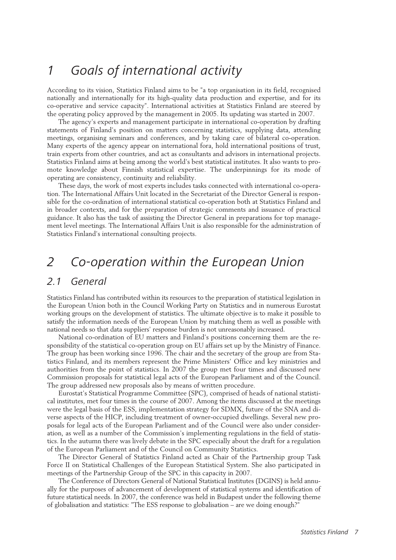## 1 Goals of international activity

According to its vision, Statistics Finland aims to be "a top organisation in its field, recognised nationally and internationally for its high-quality data production and expertise, and for its co-operative and service capacity". International activities at Statistics Finland are steered by the operating policy approved by the management in 2005. Its updating was started in 2007.

The agency's experts and management participate in international co-operation by drafting statements of Finland's position on matters concerning statistics, supplying data, attending meetings, organising seminars and conferences, and by taking care of bilateral co-operation. Many experts of the agency appear on international fora, hold international positions of trust, train experts from other countries, and act as consultants and advisors in international projects. Statistics Finland aims at being among the world's best statistical institutes. It also wants to promote knowledge about Finnish statistical expertise. The underpinnings for its mode of operating are consistency, continuity and reliability.

These days, the work of most experts includes tasks connected with international co-operation. The International Affairs Unit located in the Secretariat of the Director General is responsible for the co-ordination of international statistical co-operation both at Statistics Finland and in broader contexts, and for the preparation of strategic comments and issuance of practical guidance. It also has the task of assisting the Director General in preparations for top management level meetings. The International Affairs Unit is also responsible for the administration of Statistics Finland's international consulting projects.

## 2 Co-operation within the European Union

### 2.1 General

Statistics Finland has contributed within its resources to the preparation of statistical legislation in the European Union both in the Council Working Party on Statistics and in numerous Eurostat working groups on the development of statistics. The ultimate objective is to make it possible to satisfy the information needs of the European Union by matching them as well as possible with national needs so that data suppliers' response burden is not unreasonably increased.

National co-ordination of EU matters and Finland's positions concerning them are the responsibility of the statistical co-operation group on EU affairs set up by the Ministry of Finance. The group has been working since 1996. The chair and the secretary of the group are from Statistics Finland, and its members represent the Prime Ministers' Office and key ministries and authorities from the point of statistics. In 2007 the group met four times and discussed new Commission proposals for statistical legal acts of the European Parliament and of the Council. The group addressed new proposals also by means of written procedure.

Eurostat's Statistical Programme Committee (SPC), comprised of heads of national statistical institutes, met four times in the course of 2007. Among the items discussed at the meetings were the legal basis of the ESS, implementation strategy for SDMX, future of the SNA and diverse aspects of the HICP, including treatment of owner-occupied dwellings. Several new proposals for legal acts of the European Parliament and of the Council were also under consideration, as well as a number of the Commission's implementing regulations in the field of statistics. In the autumn there was lively debate in the SPC especially about the draft for a regulation of the European Parliament and of the Council on Community Statistics.

The Director General of Statistics Finland acted as Chair of the Partnership group Task Force II on Statistical Challenges of the European Statistical System. She also participated in meetings of the Partnership Group of the SPC in this capacity in 2007.

The Conference of Directors General of National Statistical Institutes (DGINS) is held annually for the purposes of advancement of development of statistical systems and identification of future statistical needs. In 2007, the conference was held in Budapest under the following theme of globalisation and statistics: "The ESS response to globalisation – are we doing enough?"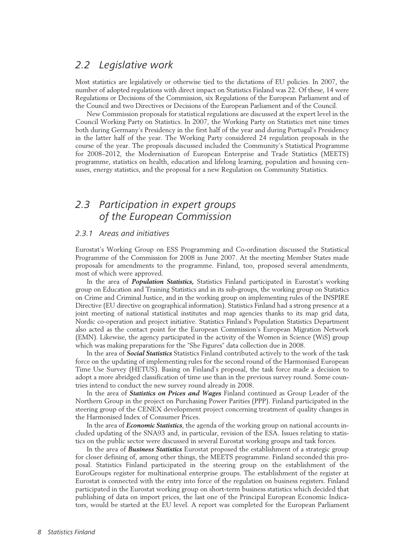### 2.2 Legislative work

Most statistics are legislatively or otherwise tied to the dictations of EU policies. In 2007, the number of adopted regulations with direct impact on Statistics Finland was 22. Of these, 14 were Regulations or Decisions of the Commission, six Regulations of the European Parliament and of the Council and two Directives or Decisions of the European Parliament and of the Council.

New Commission proposals for statistical regulations are discussed at the expert level in the Council Working Party on Statistics. In 2007, the Working Party on Statistics met nine times both during Germany's Presidency in the first half of the year and during Portugal's Presidency in the latter half of the year. The Working Party considered 24 regulation proposals in the course of the year. The proposals discussed included the Community's Statistical Programme for 2008–2012, the Modernisation of European Enterprise and Trade Statistics (MEETS) programme, statistics on health, education and lifelong learning, population and housing censuses, energy statistics, and the proposal for a new Regulation on Community Statistics.

### 2.3 Participation in expert groups of the European Commission

#### 2.3.1 Areas and initiatives

Eurostat's Working Group on ESS Programming and Co-ordination discussed the Statistical Programme of the Commission for 2008 in June 2007. At the meeting Member States made proposals for amendments to the programme. Finland, too, proposed several amendments, most of which were approved.

In the area of *Population Statistics,* Statistics Finland participated in Eurostat's working group on Education and Training Statistics and in its sub-groups, the working group on Statistics on Crime and Criminal Justice, and in the working group on implementing rules of the INSPIRE Directive (EU directive on geographical information). Statistics Finland had a strong presence at a joint meeting of national statistical institutes and map agencies thanks to its map grid data, Nordic co-operation and project initiative. Statistics Finland's Population Statistics Department also acted as the contact point for the European Commission's European Migration Network (EMN). Likewise, the agency participated in the activity of the Women in Science (WiS) group which was making preparations for the "She Figures" data collection due in 2008.

In the area of *Social Statistics* Statistics Finland contributed actively to the work of the task force on the updating of implementing rules for the second round of the Harmonised European Time Use Survey (HETUS). Basing on Finland's proposal, the task force made a decision to adopt a more abridged classification of time use than in the previous survey round. Some countries intend to conduct the new survey round already in 2008.

In the area of *Statistics on Prices and Wages* Finland continued as Group Leader of the Northern Group in the project on Purchasing Power Parities (PPP). Finland participated in the steering group of the CENEX development project concerning treatment of quality changes in the Harmonised Index of Consumer Prices.

In the area of *Economic Statistics*, the agenda of the working group on national accounts included updating of the SNA93 and, in particular, revision of the ESA. Issues relating to statistics on the public sector were discussed in several Eurostat working groups and task forces.

In the area of *Business Statistics* Eurostat proposed the establishment of a strategic group for closer defining of, among other things, the MEETS programme. Finland seconded this proposal. Statistics Finland participated in the steering group on the establishment of the EuroGroups register for multinational enterprise groups. The establishment of the register at Eurostat is connected with the entry into force of the regulation on business registers. Finland participated in the Eurostat working group on short-term business statistics which decided that publishing of data on import prices, the last one of the Principal European Economic Indicators, would be started at the EU level. A report was completed for the European Parliament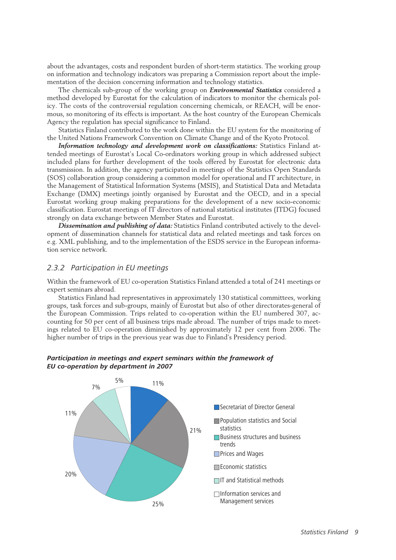about the advantages, costs and respondent burden of short-term statistics. The working group on information and technology indicators was preparing a Commission report about the implementation of the decision concerning information and technology statistics.

The chemicals sub-group of the working group on *Environmental Statistics* considered a method developed by Eurostat for the calculation of indicators to monitor the chemicals policy. The costs of the controversial regulation concerning chemicals, or REACH, will be enormous, so monitoring of its effects is important. As the host country of the European Chemicals Agency the regulation has special significance to Finland.

Statistics Finland contributed to the work done within the EU system for the monitoring of the United Nations Framework Convention on Climate Change and of the Kyoto Protocol.

*Information technology and development work on classifications:* Statistics Finland attended meetings of Eurostat's Local Co-ordinators working group in which addressed subject included plans for further development of the tools offered by Eurostat for electronic data transmission. In addition, the agency participated in meetings of the Statistics Open Standards (SOS) collaboration group considering a common model for operational and IT architecture, in the Management of Statistical Information Systems (MSIS), and Statistical Data and Metadata Exchange (DMX) meetings jointly organised by Eurostat and the OECD, and in a special Eurostat working group making preparations for the development of a new socio-economic classification. Eurostat meetings of IT directors of national statistical institutes (ITDG) focused strongly on data exchange between Member States and Eurostat.

*Dissemination and publishing of data:* Statistics Finland contributed actively to the development of dissemination channels for statistical data and related meetings and task forces on e.g. XML publishing, and to the implementation of the ESDS service in the European information service network.

#### 2.3.2 Participation in EU meetings

Within the framework of EU co-operation Statistics Finland attended a total of 241 meetings or expert seminars abroad.

Statistics Finland had representatives in approximately 130 statistical committees, working groups, task forces and sub-groups, mainly of Eurostat but also of other directorates-general of the European Commission. Trips related to co-operation within the EU numbered 307, accounting for 50 per cent of all business trips made abroad. The number of trips made to meetings related to EU co-operation diminished by approximately 12 per cent from 2006. The higher number of trips in the previous year was due to Finland's Presidency period.



#### **Participation in meetings and expert seminars within the framework of EU co-operation by department in 2007**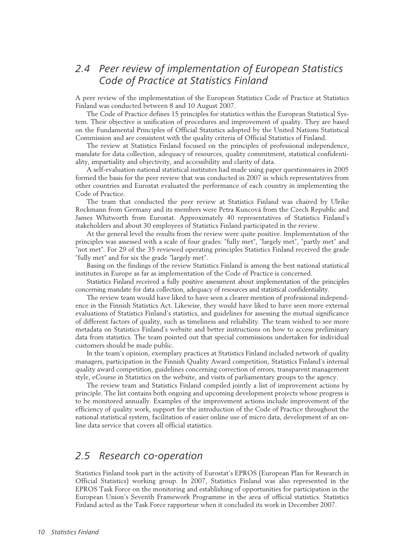### 2.4 Peer review of implementation of European Statistics Code of Practice at Statistics Finland

A peer review of the implementation of the European Statistics Code of Practice at Statistics Finland was conducted between 8 and 10 August 2007.

The Code of Practice defines 15 principles for statistics within the European Statistical System. Their objective is unification of procedures and improvement of quality. They are based on the Fundamental Principles of Official Statistics adopted by the United Nations Statistical Commission and are consistent with the quality criteria of Official Statistics of Finland.

The review at Statistics Finland focused on the principles of professional independence, mandate for data collection, adequacy of resources, quality commitment, statistical confidentiality, impartiality and objectivity, and accessibility and clarity of data.

A self-evaluation national statistical institutes had made using paper questionnaires in 2005 formed the basis for the peer review that was conducted in 2007 in which representatives from other countries and Eurostat evaluated the performance of each country in implementing the Code of Practice.

The team that conducted the peer review at Statistics Finland was chaired by Ulrike Rockmann from Germany and its members were Petra Kuncová from the Czech Republic and James Whitworth from Eurostat. Approximately 40 representatives of Statistics Finland's stakeholders and about 30 employees of Statistics Finland participated in the review.

At the general level the results from the review were quite positive. Implementation of the principles was assessed with a scale of four grades: "fully met", "largely met", "partly met" and "not met". For 29 of the 35 reviewed operating principles Statistics Finland received the grade "fully met" and for six the grade "largely met".

Basing on the findings of the review Statistics Finland is among the best national statistical institutes in Europe as far as implementation of the Code of Practice is concerned.

Statistics Finland received a fully positive assessment about implementation of the principles concerning mandate for data collection, adequacy of resources and statistical confidentiality.

The review team would have liked to have seen a clearer mention of professional independence in the Finnish Statistics Act. Likewise, they would have liked to have seen more external evaluations of Statistics Finland's statistics, and guidelines for assessing the mutual significance of different factors of quality, such as timeliness and reliability. The team wished to see more metadata on Statistics Finland's website and better instructions on how to access preliminary data from statistics. The team pointed out that special commissions undertaken for individual customers should be made public.

In the team's opinion, exemplary practices at Statistics Finland included network of quality managers, participation in the Finnish Quality Award competition, Statistics Finland's internal quality award competition, guidelines concerning correction of errors, transparent management style, eCourse in Statistics on the website, and visits of parliamentary groups to the agency.

The review team and Statistics Finland compiled jointly a list of improvement actions by principle. The list contains both ongoing and upcoming development projects whose progress is to be monitored annually. Examples of the improvement actions include improvement of the efficiency of quality work, support for the introduction of the Code of Practice throughout the national statistical system, facilitation of easier online use of micro data, development of an online data service that covers all official statistics.

#### 2.5 Research co-operation

Statistics Finland took part in the activity of Eurostat's EPROS (European Plan for Research in Official Statistics) working group. In 2007, Statistics Finland was also represented in the EPROS Task Force on the monitoring and establishing of opportunities for participation in the European Union's Seventh Framework Programme in the area of official statistics. Statistics Finland acted as the Task Force rapporteur when it concluded its work in December 2007.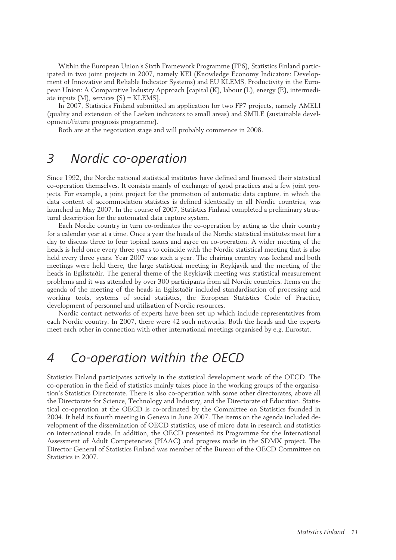Within the European Union's Sixth Framework Programme (FP6), Statistics Finland participated in two joint projects in 2007, namely KEI (Knowledge Economy Indicators: Development of Innovative and Reliable Indicator Systems) and EU KLEMS, Productivity in the European Union: A Comparative Industry Approach [capital (K), labour (L), energy (E), intermediate inputs  $(M)$ , services  $(S)$  = KLEMS].

In 2007, Statistics Finland submitted an application for two FP7 projects, namely AMELI (quality and extension of the Laeken indicators to small areas) and SMILE (sustainable development/future prognosis programme).

Both are at the negotiation stage and will probably commence in 2008.

## 3 Nordic co-operation

Since 1992, the Nordic national statistical institutes have defined and financed their statistical co-operation themselves. It consists mainly of exchange of good practices and a few joint projects. For example, a joint project for the promotion of automatic data capture, in which the data content of accommodation statistics is defined identically in all Nordic countries, was launched in May 2007. In the course of 2007, Statistics Finland completed a preliminary structural description for the automated data capture system.

Each Nordic country in turn co-ordinates the co-operation by acting as the chair country for a calendar year at a time. Once a year the heads of the Nordic statistical institutes meet for a day to discuss three to four topical issues and agree on co-operation. A wider meeting of the heads is held once every three years to coincide with the Nordic statistical meeting that is also held every three years. Year 2007 was such a year. The chairing country was Iceland and both meetings were held there, the large statistical meeting in Reykjavik and the meeting of the heads in Egilsstaðir. The general theme of the Reykjavik meeting was statistical measurement problems and it was attended by over 300 participants from all Nordic countries. Items on the agenda of the meeting of the heads in Egilsstaðir included standardisation of processing and working tools, systems of social statistics, the European Statistics Code of Practice, development of personnel and utilisation of Nordic resources.

Nordic contact networks of experts have been set up which include representatives from each Nordic country. In 2007, there were 42 such networks. Both the heads and the experts meet each other in connection with other international meetings organised by e.g. Eurostat.

### 4 Co-operation within the OECD

Statistics Finland participates actively in the statistical development work of the OECD. The co-operation in the field of statistics mainly takes place in the working groups of the organisation's Statistics Directorate. There is also co-operation with some other directorates, above all the Directorate for Science, Technology and Industry, and the Directorate of Education. Statistical co-operation at the OECD is co-ordinated by the Committee on Statistics founded in 2004. It held its fourth meeting in Geneva in June 2007. The items on the agenda included development of the dissemination of OECD statistics, use of micro data in research and statistics on international trade. In addition, the OECD presented its Programme for the International Assessment of Adult Competencies (PIAAC) and progress made in the SDMX project. The Director General of Statistics Finland was member of the Bureau of the OECD Committee on Statistics in 2007.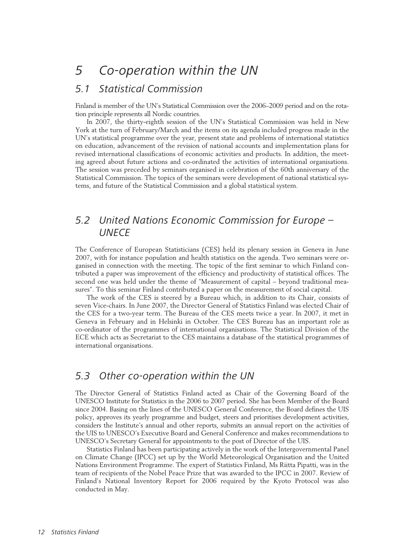### 5.1 Statistical Commission

Finland is member of the UN's Statistical Commission over the 2006–2009 period and on the rotation principle represents all Nordic countries.

In 2007, the thirty-eighth session of the UN's Statistical Commission was held in New York at the turn of February/March and the items on its agenda included progress made in the UN's statistical programme over the year, present state and problems of international statistics on education, advancement of the revision of national accounts and implementation plans for revised international classifications of economic activities and products. In addition, the meeting agreed about future actions and co-ordinated the activities of international organisations. The session was preceded by seminars organised in celebration of the 60th anniversary of the Statistical Commission. The topics of the seminars were development of national statistical systems, and future of the Statistical Commission and a global statistical system.

### 5.2 United Nations Economic Commission for Europe – **UNFCF**

The Conference of European Statisticians (CES) held its plenary session in Geneva in June 2007, with for instance population and health statistics on the agenda. Two seminars were organised in connection with the meeting. The topic of the first seminar to which Finland contributed a paper was improvement of the efficiency and productivity of statistical offices. The second one was held under the theme of "Measurement of capital – beyond traditional measures". To this seminar Finland contributed a paper on the measurement of social capital.

The work of the CES is steered by a Bureau which, in addition to its Chair, consists of seven Vice-chairs. In June 2007, the Director General of Statistics Finland was elected Chair of the CES for a two-year term. The Bureau of the CES meets twice a year. In 2007, it met in Geneva in February and in Helsinki in October. The CES Bureau has an important role as co-ordinator of the programmes of international organisations. The Statistical Division of the ECE which acts as Secretariat to the CES maintains a database of the statistical programmes of international organisations.

### 5.3 Other co-operation within the UN

The Director General of Statistics Finland acted as Chair of the Governing Board of the UNESCO Institute for Statistics in the 2006 to 2007 period. She has been Member of the Board since 2004. Basing on the lines of the UNESCO General Conference, the Board defines the UIS policy, approves its yearly programme and budget, steers and prioritises development activities, considers the Institute's annual and other reports, submits an annual report on the activities of the UIS to UNESCO's Executive Board and General Conference and makes recommendations to UNESCO's Secretary General for appointments to the post of Director of the UIS.

Statistics Finland has been participating actively in the work of the Intergovernmental Panel on Climate Change (IPCC) set up by the World Meteorological Organisation and the United Nations Environment Programme. The expert of Statistics Finland, Ms Riitta Pipatti, was in the team of recipients of the Nobel Peace Prize that was awarded to the IPCC in 2007. Review of Finland's National Inventory Report for 2006 required by the Kyoto Protocol was also conducted in May.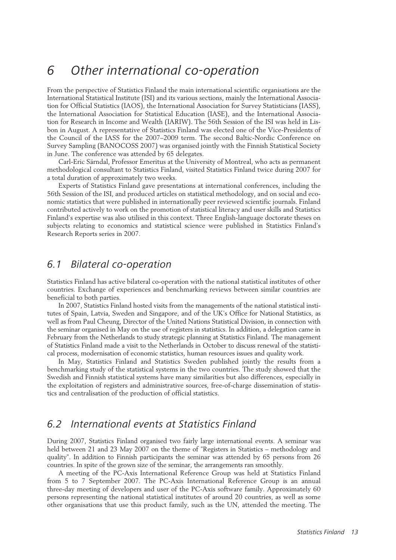## 6 Other international co-operation

From the perspective of Statistics Finland the main international scientific organisations are the International Statistical Institute (ISI) and its various sections, mainly the International Association for Official Statistics (IAOS), the International Association for Survey Statisticians (IASS), the International Association for Statistical Education (IASE), and the International Association for Research in Income and Wealth (IARIW). The 56th Session of the ISI was held in Lisbon in August. A representative of Statistics Finland was elected one of the Vice-Presidents of the Council of the IASS for the 2007–2009 term. The second Baltic-Nordic Conference on Survey Sampling (BANOCOSS 2007) was organised jointly with the Finnish Statistical Society in June. The conference was attended by 65 delegates.

Carl-Eric Särndal, Professor Emeritus at the University of Montreal, who acts as permanent methodological consultant to Statistics Finland, visited Statistics Finland twice during 2007 for a total duration of approximately two weeks.

Experts of Statistics Finland gave presentations at international conferences, including the 56th Session of the ISI, and produced articles on statistical methodology, and on social and economic statistics that were published in internationally peer reviewed scientific journals. Finland contributed actively to work on the promotion of statistical literacy and user skills and Statistics Finland's expertise was also utilised in this context. Three English-language doctorate theses on subjects relating to economics and statistical science were published in Statistics Finland's Research Reports series in 2007.

### 6.1 Bilateral co-operation

Statistics Finland has active bilateral co-operation with the national statistical institutes of other countries. Exchange of experiences and benchmarking reviews between similar countries are beneficial to both parties.

In 2007, Statistics Finland hosted visits from the managements of the national statistical institutes of Spain, Latvia, Sweden and Singapore, and of the UK's Office for National Statistics, as well as from Paul Cheung, Director of the United Nations Statistical Division, in connection with the seminar organised in May on the use of registers in statistics. In addition, a delegation came in February from the Netherlands to study strategic planning at Statistics Finland. The management of Statistics Finland made a visit to the Netherlands in October to discuss renewal of the statistical process, modernisation of economic statistics, human resources issues and quality work.

In May, Statistics Finland and Statistics Sweden published jointly the results from a benchmarking study of the statistical systems in the two countries. The study showed that the Swedish and Finnish statistical systems have many similarities but also differences, especially in the exploitation of registers and administrative sources, free-of-charge dissemination of statistics and centralisation of the production of official statistics.

### 6.2 International events at Statistics Finland

During 2007, Statistics Finland organised two fairly large international events. A seminar was held between 21 and 23 May 2007 on the theme of "Registers in Statistics – methodology and quality". In addition to Finnish participants the seminar was attended by 65 persons from 26 countries. In spite of the grown size of the seminar, the arrangements ran smoothly.

A meeting of the PC-Axis International Reference Group was held at Statistics Finland from 5 to 7 September 2007. The PC-Axis International Reference Group is an annual three-day meeting of developers and user of the PC-Axis software family. Approximately 60 persons representing the national statistical institutes of around 20 countries, as well as some other organisations that use this product family, such as the UN, attended the meeting. The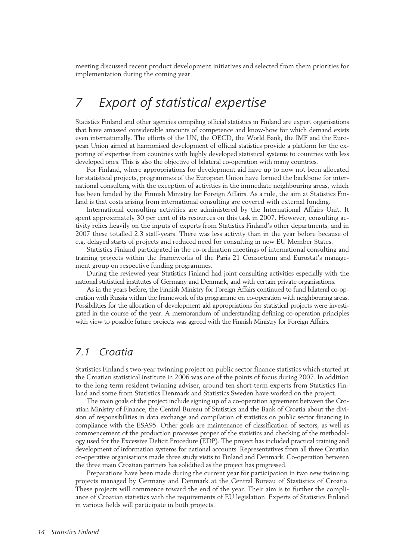meeting discussed recent product development initiatives and selected from them priorities for implementation during the coming year.

## 7 Export of statistical expertise

Statistics Finland and other agencies compiling official statistics in Finland are expert organisations that have amassed considerable amounts of competence and know-how for which demand exists even internationally. The efforts of the UN, the OECD, the World Bank, the IMF and the European Union aimed at harmonised development of official statistics provide a platform for the exporting of expertise from countries with highly developed statistical systems to countries with less developed ones. This is also the objective of bilateral co-operation with many countries.

For Finland, where appropriations for development aid have up to now not been allocated for statistical projects, programmes of the European Union have formed the backbone for international consulting with the exception of activities in the immediate neighbouring areas, which has been funded by the Finnish Ministry for Foreign Affairs. As a rule, the aim at Statistics Finland is that costs arising from international consulting are covered with external funding.

International consulting activities are administered by the International Affairs Unit. It spent approximately 30 per cent of its resources on this task in 2007. However, consulting activity relies heavily on the inputs of experts from Statistics Finland's other departments, and in 2007 these totalled 2.3 staff-years. There was less activity than in the year before because of e.g. delayed starts of projects and reduced need for consulting in new EU Member States.

Statistics Finland participated in the co-ordination meetings of international consulting and training projects within the frameworks of the Paris 21 Consortium and Eurostat's management group on respective funding programmes.

During the reviewed year Statistics Finland had joint consulting activities especially with the national statistical institutes of Germany and Denmark, and with certain private organisations.

As in the years before, the Finnish Ministry for Foreign Affairs continued to fund bilateral co-operation with Russia within the framework of its programme on co-operation with neighbouring areas. Possibilities for the allocation of development aid appropriations for statistical projects were investigated in the course of the year. A memorandum of understanding defining co-operation principles with view to possible future projects was agreed with the Finnish Ministry for Foreign Affairs.

#### 7.1 Croatia

Statistics Finland's two-year twinning project on public sector finance statistics which started at the Croatian statistical institute in 2006 was one of the points of focus during 2007. In addition to the long-term resident twinning adviser, around ten short-term experts from Statistics Finland and some from Statistics Denmark and Statistics Sweden have worked on the project.

The main goals of the project include signing up of a co-operation agreement between the Croatian Ministry of Finance, the Central Bureau of Statistics and the Bank of Croatia about the division of responsibilities in data exchange and compilation of statistics on public sector financing in compliance with the ESA95. Other goals are maintenance of classification of sectors, as well as commencement of the production processes proper of the statistics and checking of the methodology used for the Excessive Deficit Procedure (EDP). The project has included practical training and development of information systems for national accounts. Representatives from all three Croatian co-operative organisations made three study visits to Finland and Denmark. Co-operation between the three main Croatian partners has solidified as the project has progressed.

Preparations have been made during the current year for participation in two new twinning projects managed by Germany and Denmark at the Central Bureau of Stastistics of Croatia. These projects will commence toward the end of the year. Their aim is to further the compliance of Croatian statistics with the requirements of EU legislation. Experts of Statistics Finland in various fields will participate in both projects.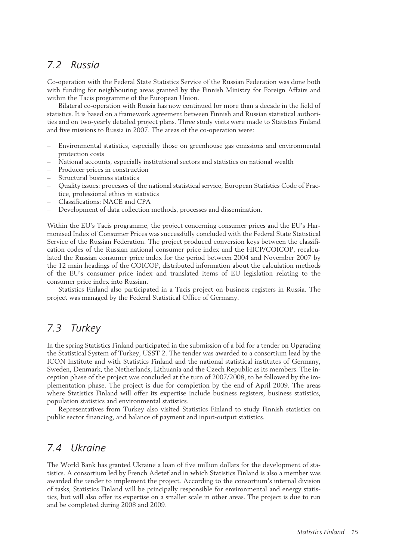### 7.2 Russia

Co-operation with the Federal State Statistics Service of the Russian Federation was done both with funding for neighbouring areas granted by the Finnish Ministry for Foreign Affairs and within the Tacis programme of the European Union.

Bilateral co-operation with Russia has now continued for more than a decade in the field of statistics. It is based on a framework agreement between Finnish and Russian statistical authorities and on two-yearly detailed project plans. Three study visits were made to Statistics Finland and five missions to Russia in 2007. The areas of the co-operation were:

- Environmental statistics, especially those on greenhouse gas emissions and environmental protection costs
- National accounts, especially institutional sectors and statistics on national wealth
- Producer prices in construction
- Structural business statistics
- Quality issues: processes of the national statistical service, European Statistics Code of Practice, professional ethics in statistics
- Classifications: NACE and CPA
- Development of data collection methods, processes and dissemination.

Within the EU's Tacis programme, the project concerning consumer prices and the EU's Harmonised Index of Consumer Prices was successfully concluded with the Federal State Statistical Service of the Russian Federation. The project produced conversion keys between the classification codes of the Russian national consumer price index and the HICP/COICOP, recalculated the Russian consumer price index for the period between 2004 and November 2007 by the 12 main headings of the COICOP, distributed information about the calculation methods of the EU's consumer price index and translated items of EU legislation relating to the consumer price index into Russian.

Statistics Finland also participated in a Tacis project on business registers in Russia. The project was managed by the Federal Statistical Office of Germany.

### 7.3 Turkey

In the spring Statistics Finland participated in the submission of a bid for a tender on Upgrading the Statistical System of Turkey, USST 2. The tender was awarded to a consortium lead by the ICON Institute and with Statistics Finland and the national statistical institutes of Germany, Sweden, Denmark, the Netherlands, Lithuania and the Czech Republic as its members. The inception phase of the project was concluded at the turn of 2007/2008, to be followed by the implementation phase. The project is due for completion by the end of April 2009. The areas where Statistics Finland will offer its expertise include business registers, business statistics, population statistics and environmental statistics.

Representatives from Turkey also visited Statistics Finland to study Finnish statistics on public sector financing, and balance of payment and input-output statistics.

### 7.4 Ukraine

The World Bank has granted Ukraine a loan of five million dollars for the development of statistics. A consortium led by French Adetef and in which Statistics Finland is also a member was awarded the tender to implement the project. According to the consortium's internal division of tasks, Statistics Finland will be principally responsible for environmental and energy statistics, but will also offer its expertise on a smaller scale in other areas. The project is due to run and be completed during 2008 and 2009.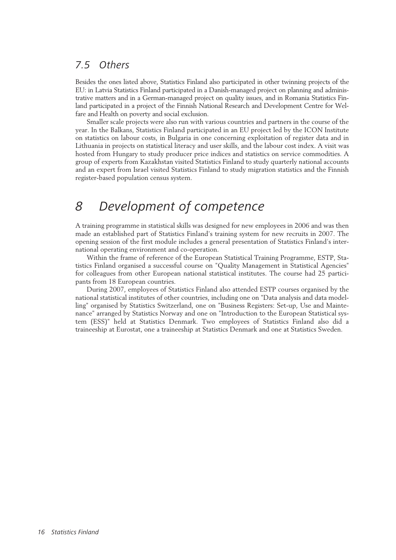### 7.5 Others

Besides the ones listed above, Statistics Finland also participated in other twinning projects of the EU: in Latvia Statistics Finland participated in a Danish-managed project on planning and administrative matters and in a German-managed project on quality issues, and in Romania Statistics Finland participated in a project of the Finnish National Research and Development Centre for Welfare and Health on poverty and social exclusion.

Smaller scale projects were also run with various countries and partners in the course of the year. In the Balkans, Statistics Finland participated in an EU project led by the ICON Institute on statistics on labour costs, in Bulgaria in one concerning exploitation of register data and in Lithuania in projects on statistical literacy and user skills, and the labour cost index. A visit was hosted from Hungary to study producer price indices and statistics on service commodities. A group of experts from Kazakhstan visited Statistics Finland to study quarterly national accounts and an expert from Israel visited Statistics Finland to study migration statistics and the Finnish register-based population census system.

## 8 Development of competence

A training programme in statistical skills was designed for new employees in 2006 and was then made an established part of Statistics Finland's training system for new recruits in 2007. The opening session of the first module includes a general presentation of Statistics Finland's international operating environment and co-operation.

Within the frame of reference of the European Statistical Training Programme, ESTP, Statistics Finland organised a successful course on "Quality Management in Statistical Agencies" for colleagues from other European national statistical institutes. The course had 25 participants from 18 European countries.

During 2007, employees of Statistics Finland also attended ESTP courses organised by the national statistical institutes of other countries, including one on "Data analysis and data modelling" organised by Statistics Switzerland, one on "Business Registers: Set-up, Use and Maintenance" arranged by Statistics Norway and one on "Introduction to the European Statistical system (ESS)" held at Statistics Denmark. Two employees of Statistics Finland also did a traineeship at Eurostat, one a traineeship at Statistics Denmark and one at Statistics Sweden.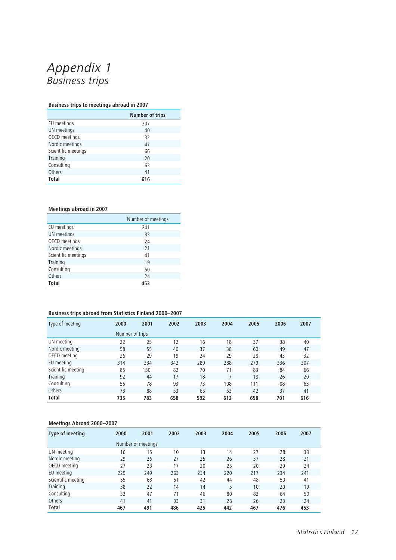## Appendix 1 Business trips

#### **Business trips to meetings abroad in 2007**

|                     | <b>Number of trips</b> |
|---------------------|------------------------|
| EU meetings         | 307                    |
| UN meetings         | 40                     |
| OECD meetings       | 32                     |
| Nordic meetings     | 47                     |
| Scientific meetings | 66                     |
| Training            | 20                     |
| Consulting          | 63                     |
| Others              | 41                     |
| <b>Total</b>        | 616                    |

#### **Meetings abroad in 2007**

|                     | Number of meetings |
|---------------------|--------------------|
| EU meetings         | 241                |
| UN meetings         | 33                 |
| OECD meetings       | 24                 |
| Nordic meetings     | 21                 |
| Scientific meetings | 41                 |
| Training            | 19                 |
| Consulting          | 50                 |
| Others              | 24                 |
| <b>Total</b>        | 453                |

#### **Business trips abroad from Statistics Finland 2000–2007**

| Type of meeting    | 2000            | 2001 | 2002 | 2003 | 2004 | 2005 | 2006 | 2007 |
|--------------------|-----------------|------|------|------|------|------|------|------|
|                    | Number of trips |      |      |      |      |      |      |      |
| UN meeting         | 22              | 25   | 12   | 16   | 18   | 37   | 38   | 40   |
| Nordic meeting     | 58              | 55   | 40   | 37   | 38   | 60   | 49   | 47   |
| OECD meeting       | 36              | 29   | 19   | 24   | 29   | 28   | 43   | 32   |
| EU meeting         | 314             | 334  | 342  | 289  | 288  | 279  | 336  | 307  |
| Scientific meeting | 85              | 130  | 82   | 70   | 71   | 83   | 84   | 66   |
| Training           | 92              | 44   | 17   | 18   |      | 18   | 26   | 20   |
| Consulting         | 55              | 78   | 93   | 73   | 108  | 111  | 88   | 63   |
| Others             | 73              | 88   | 53   | 65   | 53   | 42   | 37   | 41   |
| <b>Total</b>       | 735             | 783  | 658  | 592  | 612  | 658  | 701  | 616  |

#### **Meetings Abroad 2000–2007**

| Type of meeting    | 2000               | 2001 | 2002 | 2003 | 2004 | 2005 | 2006 | 2007 |
|--------------------|--------------------|------|------|------|------|------|------|------|
|                    | Number of meetings |      |      |      |      |      |      |      |
| UN meeting         | 16                 | 15   | 10   | 13   | 14   | 27   | 28   | 33   |
| Nordic meeting     | 29                 | 26   | 27   | 25   | 26   | 37   | 28   | 21   |
| OECD meeting       | 27                 | 23   | 17   | 20   | 25   | 20   | 29   | 24   |
| EU meeting         | 229                | 249  | 263  | 234  | 220  | 217  | 234  | 241  |
| Scientific meeting | 55                 | 68   | 51   | 42   | 44   | 48   | 50   | 41   |
| Training           | 38                 | 22   | 14   | 14   | 5    | 10   | 20   | 19   |
| Consulting         | 32                 | 47   | 71   | 46   | 80   | 82   | 64   | 50   |
| Others             | 41                 | 41   | 33   | 31   | 28   | 26   | 23   | 24   |
| <b>Total</b>       | 467                | 491  | 486  | 425  | 442  | 467  | 476  | 453  |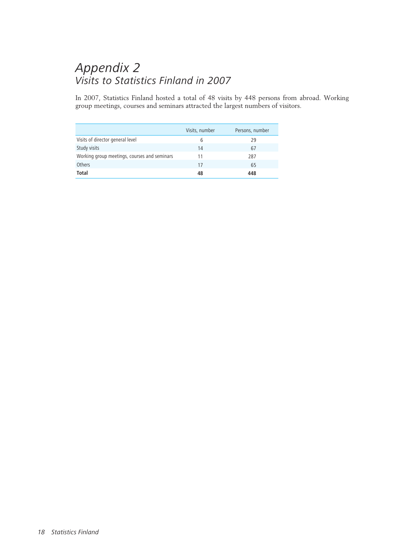## Appendix 2 Visits to Statistics Finland in 2007

In 2007, Statistics Finland hosted a total of 48 visits by 448 persons from abroad. Working group meetings, courses and seminars attracted the largest numbers of visitors.

|                                              | Visits, number | Persons, number |
|----------------------------------------------|----------------|-----------------|
| Visits of director general level             | 6              | 29              |
| Study visits                                 | 14             | 67              |
| Working group meetings, courses and seminars | 11             | 287             |
| Others                                       | 17             | 65              |
| Total                                        | 48             | 448             |